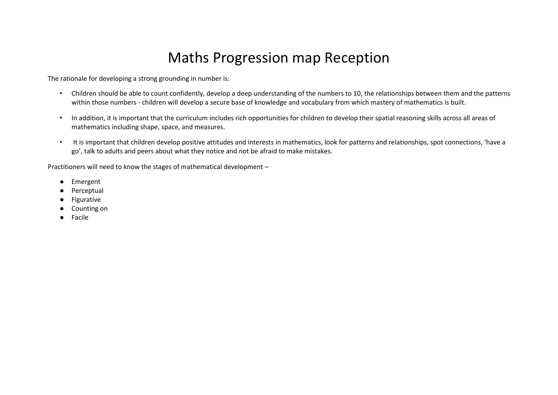# Maths Progression map Reception

The rationale for developing a strong grounding in number is:

- Children should be able to count confidently, develop a deep understanding of the numbers to 10, the relationships between them and the patterns within those numbers - children will develop a secure base of knowledge and vocabulary from which mastery of mathematics is built.
- In addition, it is important that the curriculum includes rich opportunities for children to develop their spatial reasoning skills across all areas of mathematics including shape, space, and measures.
- It is important that children develop positive attitudes and interests in mathematics, look for patterns and relationships, spot connections, 'have a go', talk to adults and peers about what they notice and not be afraid to make mistakes.

Practitioners will need to know the stages of mathematical development –

- Emergent
- Perceptual
- Figurative
- Counting on
- Facile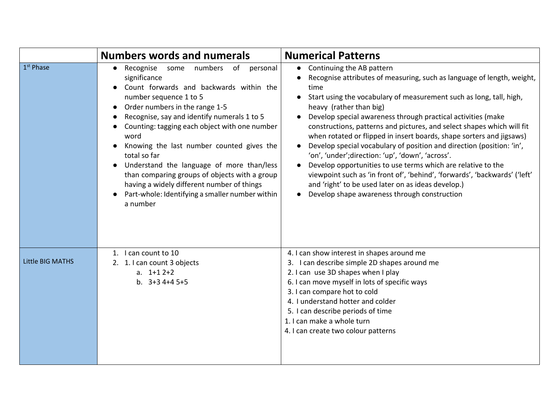|                       | <b>Numbers words and numerals</b>                                                                                                                                                                                                                                                                                                                                                                                                                                                                                                                      | <b>Numerical Patterns</b>                                                                                                                                                                                                                                                                                                                                                                                                                                                                                                                                                                                                                                                                                                                                                                                                                                |
|-----------------------|--------------------------------------------------------------------------------------------------------------------------------------------------------------------------------------------------------------------------------------------------------------------------------------------------------------------------------------------------------------------------------------------------------------------------------------------------------------------------------------------------------------------------------------------------------|----------------------------------------------------------------------------------------------------------------------------------------------------------------------------------------------------------------------------------------------------------------------------------------------------------------------------------------------------------------------------------------------------------------------------------------------------------------------------------------------------------------------------------------------------------------------------------------------------------------------------------------------------------------------------------------------------------------------------------------------------------------------------------------------------------------------------------------------------------|
| 1 <sup>st</sup> Phase | Recognise some numbers of personal<br>$\bullet$<br>significance<br>Count forwards and backwards within the<br>number sequence 1 to 5<br>Order numbers in the range 1-5<br>Recognise, say and identify numerals 1 to 5<br>Counting: tagging each object with one number<br>word<br>Knowing the last number counted gives the<br>total so far<br>Understand the language of more than/less<br>than comparing groups of objects with a group<br>having a widely different number of things<br>Part-whole: Identifying a smaller number within<br>a number | Continuing the AB pattern<br>$\bullet$<br>Recognise attributes of measuring, such as language of length, weight,<br>time<br>Start using the vocabulary of measurement such as long, tall, high,<br>$\bullet$<br>heavy (rather than big)<br>Develop special awareness through practical activities (make<br>constructions, patterns and pictures, and select shapes which will fit<br>when rotated or flipped in insert boards, shape sorters and jigsaws)<br>Develop special vocabulary of position and direction (position: 'in',<br>'on', 'under'; direction: 'up', 'down', 'across'.<br>Develop opportunities to use terms which are relative to the<br>$\bullet$<br>viewpoint such as 'in front of', 'behind', 'forwards', 'backwards' ('left'<br>and 'right' to be used later on as ideas develop.)<br>Develop shape awareness through construction |
| Little BIG MATHS      | 1. I can count to 10<br>2. 1. I can count 3 objects<br>a. $1+12+2$<br>b. $3+34+45+5$                                                                                                                                                                                                                                                                                                                                                                                                                                                                   | 4. I can show interest in shapes around me<br>3. I can describe simple 2D shapes around me<br>2. I can use 3D shapes when I play<br>6. I can move myself in lots of specific ways<br>3. I can compare hot to cold<br>4. I understand hotter and colder<br>5. I can describe periods of time<br>1. I can make a whole turn<br>4. I can create two colour patterns                                                                                                                                                                                                                                                                                                                                                                                                                                                                                         |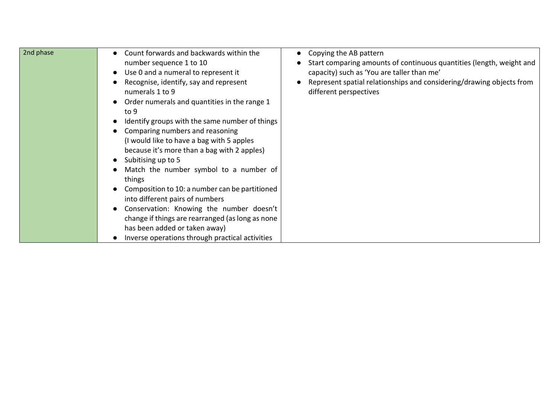| 2nd phase | Count forwards and backwards within the<br>$\bullet$<br>number sequence 1 to 10<br>Use 0 and a numeral to represent it<br>$\bullet$<br>Recognise, identify, say and represent<br>numerals 1 to 9<br>Order numerals and quantities in the range 1<br>to 9<br>Identify groups with the same number of things<br>Comparing numbers and reasoning<br>(I would like to have a bag with 5 apples<br>because it's more than a bag with 2 apples)<br>Subitising up to 5<br>Match the number symbol to a number of<br>things<br>Composition to 10: a number can be partitioned<br>into different pairs of numbers<br>Conservation: Knowing the number doesn't<br>change if things are rearranged (as long as none<br>has been added or taken away)<br>Inverse operations through practical activities | Copying the AB pattern<br>Start comparing amounts of continuous quantities (length, weight and<br>capacity) such as 'You are taller than me'<br>Represent spatial relationships and considering/drawing objects from<br>different perspectives |
|-----------|----------------------------------------------------------------------------------------------------------------------------------------------------------------------------------------------------------------------------------------------------------------------------------------------------------------------------------------------------------------------------------------------------------------------------------------------------------------------------------------------------------------------------------------------------------------------------------------------------------------------------------------------------------------------------------------------------------------------------------------------------------------------------------------------|------------------------------------------------------------------------------------------------------------------------------------------------------------------------------------------------------------------------------------------------|
|-----------|----------------------------------------------------------------------------------------------------------------------------------------------------------------------------------------------------------------------------------------------------------------------------------------------------------------------------------------------------------------------------------------------------------------------------------------------------------------------------------------------------------------------------------------------------------------------------------------------------------------------------------------------------------------------------------------------------------------------------------------------------------------------------------------------|------------------------------------------------------------------------------------------------------------------------------------------------------------------------------------------------------------------------------------------------|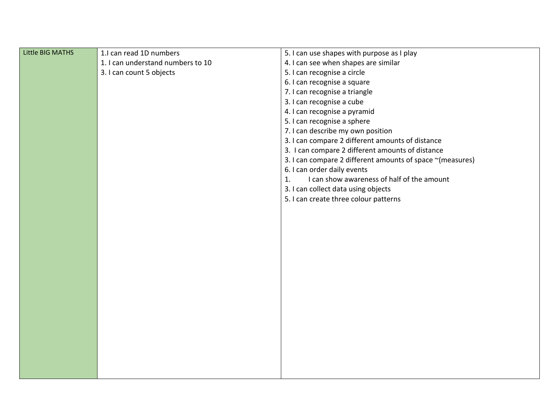| Little BIG MATHS | 1.I can read 1D numbers           | 5. I can use shapes with purpose as I play                |
|------------------|-----------------------------------|-----------------------------------------------------------|
|                  | 1. I can understand numbers to 10 | 4. I can see when shapes are similar                      |
|                  | 3. I can count 5 objects          | 5. I can recognise a circle                               |
|                  |                                   | 6. I can recognise a square                               |
|                  |                                   | 7. I can recognise a triangle                             |
|                  |                                   | 3. I can recognise a cube                                 |
|                  |                                   | 4. I can recognise a pyramid                              |
|                  |                                   | 5. I can recognise a sphere                               |
|                  |                                   | 7. I can describe my own position                         |
|                  |                                   | 3. I can compare 2 different amounts of distance          |
|                  |                                   | 3. I can compare 2 different amounts of distance          |
|                  |                                   | 3. I can compare 2 different amounts of space ~(measures) |
|                  |                                   | 6. I can order daily events                               |
|                  |                                   | I can show awareness of half of the amount<br>1.          |
|                  |                                   | 3. I can collect data using objects                       |
|                  |                                   | 5. I can create three colour patterns                     |
|                  |                                   |                                                           |
|                  |                                   |                                                           |
|                  |                                   |                                                           |
|                  |                                   |                                                           |
|                  |                                   |                                                           |
|                  |                                   |                                                           |
|                  |                                   |                                                           |
|                  |                                   |                                                           |
|                  |                                   |                                                           |
|                  |                                   |                                                           |
|                  |                                   |                                                           |
|                  |                                   |                                                           |
|                  |                                   |                                                           |
|                  |                                   |                                                           |
|                  |                                   |                                                           |
|                  |                                   |                                                           |
|                  |                                   |                                                           |
|                  |                                   |                                                           |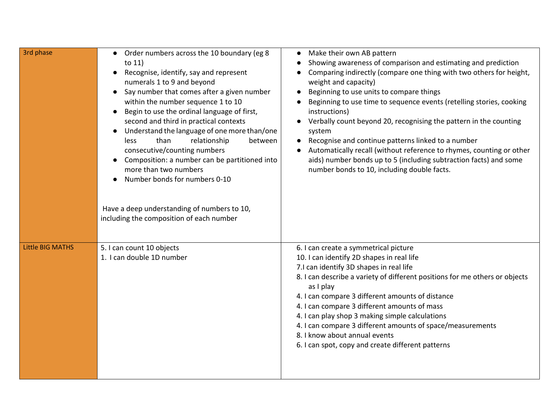| 3rd phase               | Order numbers across the 10 boundary (eg 8<br>to $11)$<br>Recognise, identify, say and represent<br>numerals 1 to 9 and beyond<br>Say number that comes after a given number<br>within the number sequence 1 to 10<br>Begin to use the ordinal language of first,<br>second and third in practical contexts<br>Understand the language of one more than/one<br>than<br>relationship<br>between<br>less<br>consecutive/counting numbers<br>Composition: a number can be partitioned into<br>more than two numbers<br>Number bonds for numbers 0-10<br>Have a deep understanding of numbers to 10,<br>including the composition of each number | Make their own AB pattern<br>Showing awareness of comparison and estimating and prediction<br>Comparing indirectly (compare one thing with two others for height,<br>weight and capacity)<br>Beginning to use units to compare things<br>Beginning to use time to sequence events (retelling stories, cooking<br>instructions)<br>Verbally count beyond 20, recognising the pattern in the counting<br>system<br>Recognise and continue patterns linked to a number<br>Automatically recall (without reference to rhymes, counting or other<br>aids) number bonds up to 5 (including subtraction facts) and some<br>number bonds to 10, including double facts. |
|-------------------------|----------------------------------------------------------------------------------------------------------------------------------------------------------------------------------------------------------------------------------------------------------------------------------------------------------------------------------------------------------------------------------------------------------------------------------------------------------------------------------------------------------------------------------------------------------------------------------------------------------------------------------------------|-----------------------------------------------------------------------------------------------------------------------------------------------------------------------------------------------------------------------------------------------------------------------------------------------------------------------------------------------------------------------------------------------------------------------------------------------------------------------------------------------------------------------------------------------------------------------------------------------------------------------------------------------------------------|
| <b>Little BIG MATHS</b> | 5. I can count 10 objects<br>1. I can double 1D number                                                                                                                                                                                                                                                                                                                                                                                                                                                                                                                                                                                       | 6. I can create a symmetrical picture<br>10. I can identify 2D shapes in real life<br>7.I can identify 3D shapes in real life<br>8. I can describe a variety of different positions for me others or objects<br>as I play<br>4. I can compare 3 different amounts of distance<br>4. I can compare 3 different amounts of mass<br>4. I can play shop 3 making simple calculations<br>4. I can compare 3 different amounts of space/measurements<br>8. I know about annual events<br>6. I can spot, copy and create different patterns                                                                                                                            |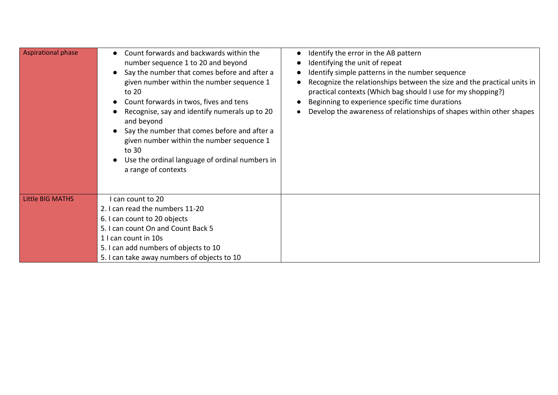| <b>Aspirational phase</b> | Count forwards and backwards within the<br>number sequence 1 to 20 and beyond<br>Say the number that comes before and after a<br>given number within the number sequence 1<br>to 20<br>Count forwards in twos, fives and tens<br>Recognise, say and identify numerals up to 20<br>and beyond<br>Say the number that comes before and after a<br>given number within the number sequence 1<br>to 30<br>Use the ordinal language of ordinal numbers in<br>a range of contexts | Identify the error in the AB pattern<br>Identifying the unit of repeat<br>Identify simple patterns in the number sequence<br>Recognize the relationships between the size and the practical units in<br>practical contexts (Which bag should I use for my shopping?)<br>Beginning to experience specific time durations<br>Develop the awareness of relationships of shapes within other shapes |
|---------------------------|-----------------------------------------------------------------------------------------------------------------------------------------------------------------------------------------------------------------------------------------------------------------------------------------------------------------------------------------------------------------------------------------------------------------------------------------------------------------------------|-------------------------------------------------------------------------------------------------------------------------------------------------------------------------------------------------------------------------------------------------------------------------------------------------------------------------------------------------------------------------------------------------|
| <b>Little BIG MATHS</b>   | I can count to 20                                                                                                                                                                                                                                                                                                                                                                                                                                                           |                                                                                                                                                                                                                                                                                                                                                                                                 |
|                           | 2. I can read the numbers 11-20                                                                                                                                                                                                                                                                                                                                                                                                                                             |                                                                                                                                                                                                                                                                                                                                                                                                 |
|                           | 6. I can count to 20 objects                                                                                                                                                                                                                                                                                                                                                                                                                                                |                                                                                                                                                                                                                                                                                                                                                                                                 |
|                           | 5. I can count On and Count Back 5                                                                                                                                                                                                                                                                                                                                                                                                                                          |                                                                                                                                                                                                                                                                                                                                                                                                 |
|                           | 1 I can count in 10s                                                                                                                                                                                                                                                                                                                                                                                                                                                        |                                                                                                                                                                                                                                                                                                                                                                                                 |
|                           | 5. I can add numbers of objects to 10                                                                                                                                                                                                                                                                                                                                                                                                                                       |                                                                                                                                                                                                                                                                                                                                                                                                 |
|                           | 5. I can take away numbers of objects to 10                                                                                                                                                                                                                                                                                                                                                                                                                                 |                                                                                                                                                                                                                                                                                                                                                                                                 |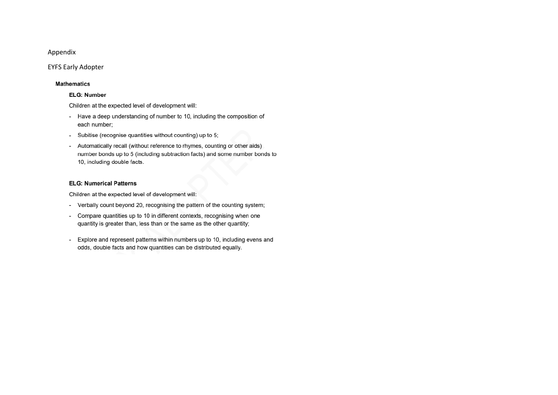## Appendix

### **EYFS Early Adopter**

#### **Mathematics**

#### **ELG: Number**

Children at the expected level of development will:

- Have a deep understanding of number to 10, including the composition of each number;
- Subitise (recognise quantities without counting) up to 5;
- Automatically recall (without reference to rhymes, counting or other aids) number bonds up to 5 (including subtraction facts) and some number bonds to 10, including double facts.

#### **ELG: Numerical Patterns**

Children at the expected level of development will:

- Verbally count beyond 20, recognising the pattern of the counting system;
- Compare quantities up to 10 in different contexts, recognising when one quantity is greater than, less than or the same as the other quantity;
- Explore and represent patterns within numbers up to 10, including evens and odds, double facts and how quantities can be distributed equally.